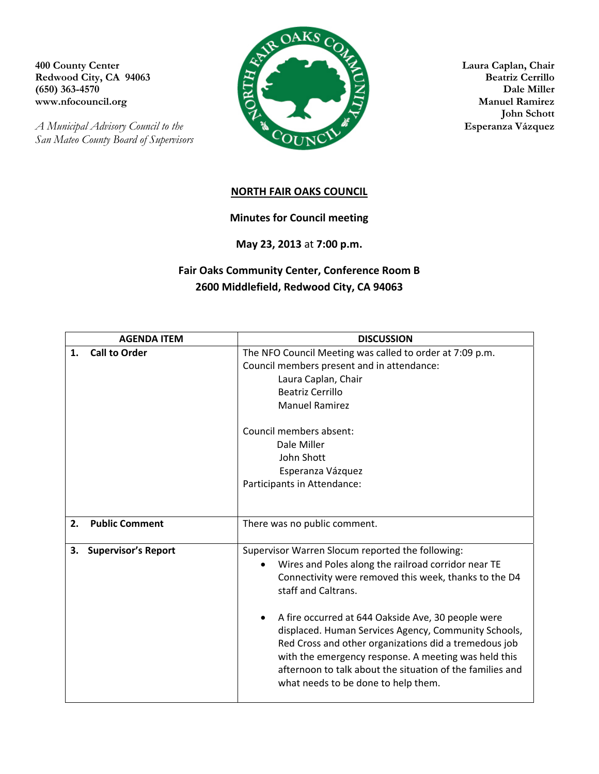Redwood City, CA 94063

*San Mateo County Board of Supervisors* 



 **John Schott** 

## **NORTH FAIR OAKS COUNCIL**

**Minutes for Council meeting**

**May 23, 2013** at **7:00 p.m.**

## **Fair Oaks Community Center, Conference Room B 2600 Middlefield, Redwood City, CA 94063**

|    | <b>AGENDA ITEM</b>         | <b>DISCUSSION</b>                                                                                                                                                     |
|----|----------------------------|-----------------------------------------------------------------------------------------------------------------------------------------------------------------------|
| 1. | <b>Call to Order</b>       | The NFO Council Meeting was called to order at 7:09 p.m.                                                                                                              |
|    |                            | Council members present and in attendance:                                                                                                                            |
|    |                            | Laura Caplan, Chair                                                                                                                                                   |
|    |                            | Beatriz Cerrillo                                                                                                                                                      |
|    |                            | <b>Manuel Ramirez</b>                                                                                                                                                 |
|    |                            | Council members absent:                                                                                                                                               |
|    |                            | Dale Miller                                                                                                                                                           |
|    |                            | John Shott                                                                                                                                                            |
|    |                            | Esperanza Vázquez                                                                                                                                                     |
|    |                            | Participants in Attendance:                                                                                                                                           |
|    |                            |                                                                                                                                                                       |
|    |                            |                                                                                                                                                                       |
| 2. | <b>Public Comment</b>      | There was no public comment.                                                                                                                                          |
| 3. | <b>Supervisor's Report</b> | Supervisor Warren Slocum reported the following:                                                                                                                      |
|    |                            | Wires and Poles along the railroad corridor near TE                                                                                                                   |
|    |                            | Connectivity were removed this week, thanks to the D4<br>staff and Caltrans.                                                                                          |
|    |                            | A fire occurred at 644 Oakside Ave, 30 people were                                                                                                                    |
|    |                            | displaced. Human Services Agency, Community Schools,<br>Red Cross and other organizations did a tremedous job<br>with the emergency response. A meeting was held this |
|    |                            | afternoon to talk about the situation of the families and<br>what needs to be done to help them.                                                                      |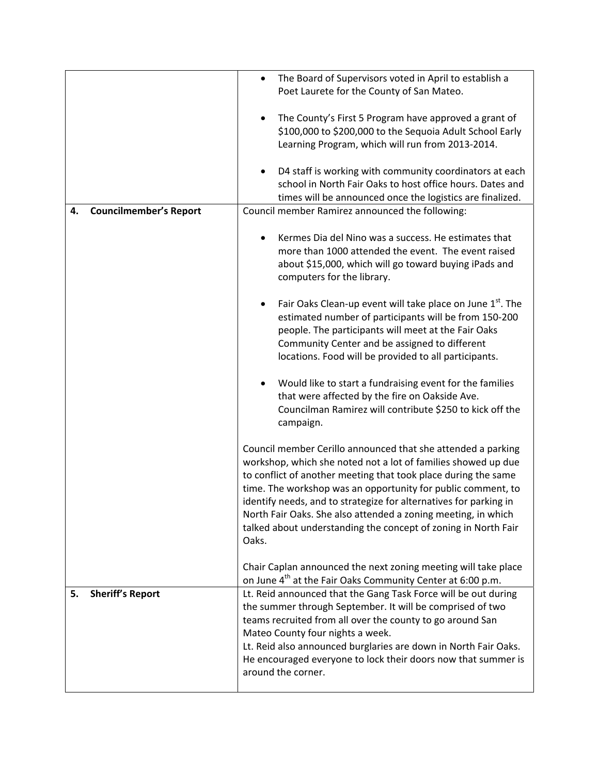|                                     | The Board of Supervisors voted in April to establish a<br>Poet Laurete for the County of San Mateo. |
|-------------------------------------|-----------------------------------------------------------------------------------------------------|
|                                     |                                                                                                     |
|                                     | The County's First 5 Program have approved a grant of                                               |
|                                     | \$100,000 to \$200,000 to the Sequoia Adult School Early                                            |
|                                     | Learning Program, which will run from 2013-2014.                                                    |
|                                     | D4 staff is working with community coordinators at each                                             |
|                                     | school in North Fair Oaks to host office hours. Dates and                                           |
|                                     | times will be announced once the logistics are finalized.                                           |
| <b>Councilmember's Report</b><br>4. | Council member Ramirez announced the following:                                                     |
|                                     | Kermes Dia del Nino was a success. He estimates that                                                |
|                                     | more than 1000 attended the event. The event raised                                                 |
|                                     | about \$15,000, which will go toward buying iPads and                                               |
|                                     | computers for the library.                                                                          |
|                                     | Fair Oaks Clean-up event will take place on June 1 <sup>st</sup> . The                              |
|                                     | estimated number of participants will be from 150-200                                               |
|                                     | people. The participants will meet at the Fair Oaks                                                 |
|                                     | Community Center and be assigned to different                                                       |
|                                     | locations. Food will be provided to all participants.                                               |
|                                     |                                                                                                     |
|                                     | Would like to start a fundraising event for the families                                            |
|                                     | that were affected by the fire on Oakside Ave.                                                      |
|                                     | Councilman Ramirez will contribute \$250 to kick off the                                            |
|                                     | campaign.                                                                                           |
|                                     | Council member Cerillo announced that she attended a parking                                        |
|                                     | workshop, which she noted not a lot of families showed up due                                       |
|                                     | to conflict of another meeting that took place during the same                                      |
|                                     | time. The workshop was an opportunity for public comment, to                                        |
|                                     | identify needs, and to strategize for alternatives for parking in                                   |
|                                     | North Fair Oaks. She also attended a zoning meeting, in which                                       |
|                                     | talked about understanding the concept of zoning in North Fair                                      |
|                                     | Oaks.                                                                                               |
|                                     | Chair Caplan announced the next zoning meeting will take place                                      |
|                                     | on June 4 <sup>th</sup> at the Fair Oaks Community Center at 6:00 p.m.                              |
| <b>Sheriff's Report</b><br>5.       | Lt. Reid announced that the Gang Task Force will be out during                                      |
|                                     | the summer through September. It will be comprised of two                                           |
|                                     | teams recruited from all over the county to go around San                                           |
|                                     | Mateo County four nights a week.                                                                    |
|                                     | Lt. Reid also announced burglaries are down in North Fair Oaks.                                     |
|                                     | He encouraged everyone to lock their doors now that summer is                                       |
|                                     | around the corner.                                                                                  |
|                                     |                                                                                                     |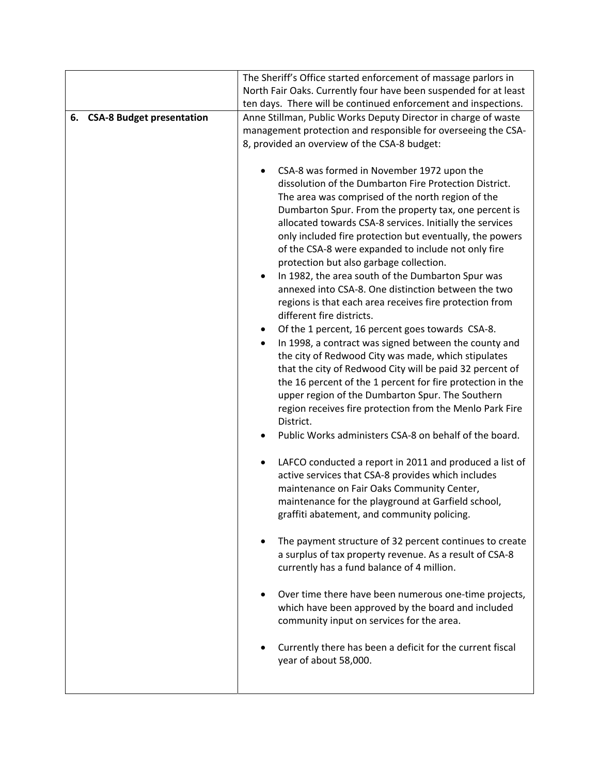|                                        | The Sheriff's Office started enforcement of massage parlors in       |
|----------------------------------------|----------------------------------------------------------------------|
|                                        | North Fair Oaks. Currently four have been suspended for at least     |
|                                        | ten days. There will be continued enforcement and inspections.       |
| <b>CSA-8 Budget presentation</b><br>6. | Anne Stillman, Public Works Deputy Director in charge of waste       |
|                                        | management protection and responsible for overseeing the CSA-        |
|                                        | 8, provided an overview of the CSA-8 budget:                         |
|                                        |                                                                      |
|                                        | CSA-8 was formed in November 1972 upon the                           |
|                                        | dissolution of the Dumbarton Fire Protection District.               |
|                                        | The area was comprised of the north region of the                    |
|                                        | Dumbarton Spur. From the property tax, one percent is                |
|                                        | allocated towards CSA-8 services. Initially the services             |
|                                        | only included fire protection but eventually, the powers             |
|                                        | of the CSA-8 were expanded to include not only fire                  |
|                                        | protection but also garbage collection.                              |
|                                        | In 1982, the area south of the Dumbarton Spur was<br>$\bullet$       |
|                                        | annexed into CSA-8. One distinction between the two                  |
|                                        | regions is that each area receives fire protection from              |
|                                        | different fire districts.                                            |
|                                        | Of the 1 percent, 16 percent goes towards CSA-8.                     |
|                                        | In 1998, a contract was signed between the county and                |
|                                        | the city of Redwood City was made, which stipulates                  |
|                                        | that the city of Redwood City will be paid 32 percent of             |
|                                        | the 16 percent of the 1 percent for fire protection in the           |
|                                        | upper region of the Dumbarton Spur. The Southern                     |
|                                        | region receives fire protection from the Menlo Park Fire             |
|                                        | District.                                                            |
|                                        | Public Works administers CSA-8 on behalf of the board.               |
|                                        |                                                                      |
|                                        | LAFCO conducted a report in 2011 and produced a list of<br>$\bullet$ |
|                                        | active services that CSA-8 provides which includes                   |
|                                        | maintenance on Fair Oaks Community Center,                           |
|                                        | maintenance for the playground at Garfield school,                   |
|                                        | graffiti abatement, and community policing.                          |
|                                        |                                                                      |
|                                        | The payment structure of 32 percent continues to create<br>٠         |
|                                        | a surplus of tax property revenue. As a result of CSA-8              |
|                                        | currently has a fund balance of 4 million.                           |
|                                        |                                                                      |
|                                        | Over time there have been numerous one-time projects,                |
|                                        | which have been approved by the board and included                   |
|                                        | community input on services for the area.                            |
|                                        |                                                                      |
|                                        | Currently there has been a deficit for the current fiscal            |
|                                        | year of about 58,000.                                                |
|                                        |                                                                      |
|                                        |                                                                      |
|                                        |                                                                      |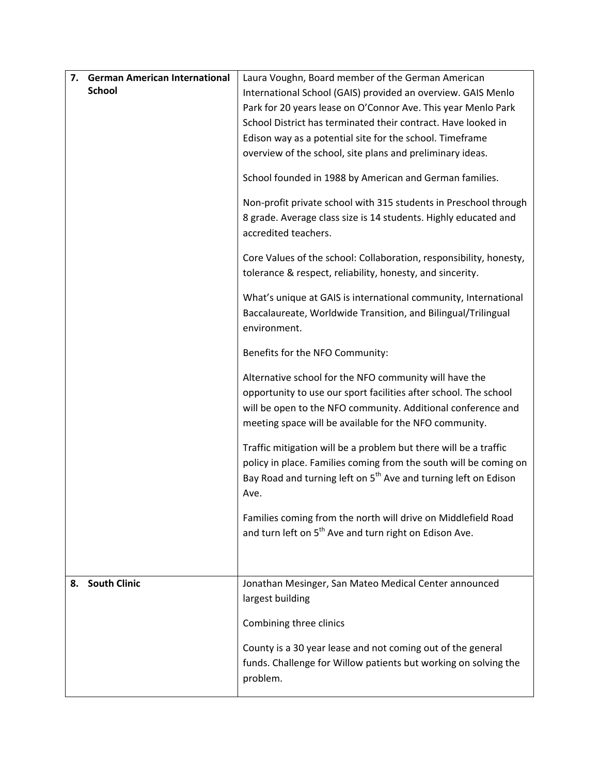| <b>German American International</b><br>7. | Laura Voughn, Board member of the German American                                                                                                                                                                                                    |
|--------------------------------------------|------------------------------------------------------------------------------------------------------------------------------------------------------------------------------------------------------------------------------------------------------|
| <b>School</b>                              | International School (GAIS) provided an overview. GAIS Menlo                                                                                                                                                                                         |
|                                            | Park for 20 years lease on O'Connor Ave. This year Menlo Park                                                                                                                                                                                        |
|                                            | School District has terminated their contract. Have looked in                                                                                                                                                                                        |
|                                            | Edison way as a potential site for the school. Timeframe                                                                                                                                                                                             |
|                                            | overview of the school, site plans and preliminary ideas.                                                                                                                                                                                            |
|                                            | School founded in 1988 by American and German families.                                                                                                                                                                                              |
|                                            | Non-profit private school with 315 students in Preschool through<br>8 grade. Average class size is 14 students. Highly educated and<br>accredited teachers.                                                                                          |
|                                            | Core Values of the school: Collaboration, responsibility, honesty,<br>tolerance & respect, reliability, honesty, and sincerity.                                                                                                                      |
|                                            | What's unique at GAIS is international community, International<br>Baccalaureate, Worldwide Transition, and Bilingual/Trilingual<br>environment.                                                                                                     |
|                                            | Benefits for the NFO Community:                                                                                                                                                                                                                      |
|                                            | Alternative school for the NFO community will have the<br>opportunity to use our sport facilities after school. The school<br>will be open to the NFO community. Additional conference and<br>meeting space will be available for the NFO community. |
|                                            | Traffic mitigation will be a problem but there will be a traffic<br>policy in place. Families coming from the south will be coming on<br>Bay Road and turning left on 5 <sup>th</sup> Ave and turning left on Edison<br>Ave.                         |
|                                            | Families coming from the north will drive on Middlefield Road<br>and turn left on 5 <sup>th</sup> Ave and turn right on Edison Ave.                                                                                                                  |
|                                            |                                                                                                                                                                                                                                                      |
| <b>South Clinic</b><br>8.                  | Jonathan Mesinger, San Mateo Medical Center announced<br>largest building                                                                                                                                                                            |
|                                            | Combining three clinics                                                                                                                                                                                                                              |
|                                            | County is a 30 year lease and not coming out of the general<br>funds. Challenge for Willow patients but working on solving the<br>problem.                                                                                                           |